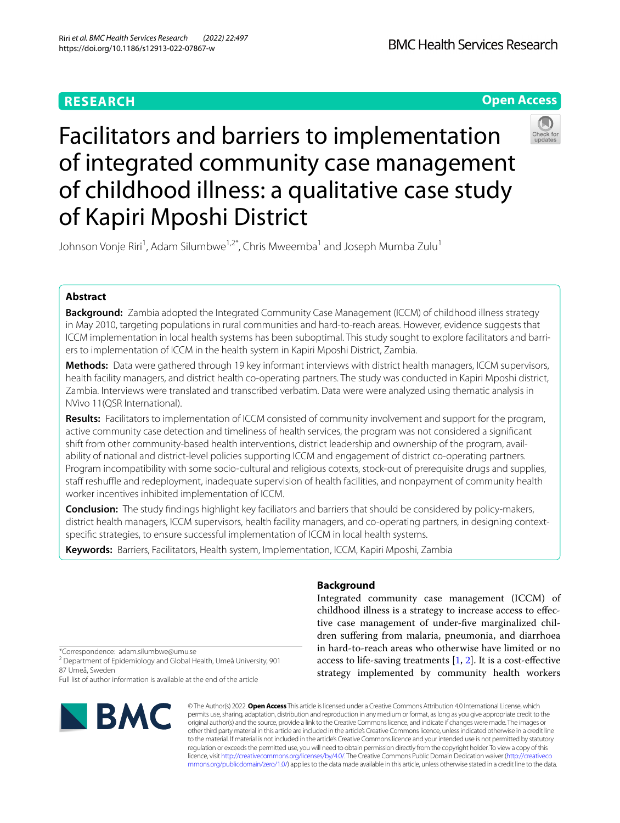# **RESEARCH**

**Open Access**



# Facilitators and barriers to implementation of integrated community case management of childhood illness: a qualitative case study of Kapiri Mposhi District

Johnson Vonje Riri<sup>1</sup>, Adam Silumbwe<sup>1,2\*</sup>, Chris Mweemba<sup>1</sup> and Joseph Mumba Zulu<sup>1</sup>

# **Abstract**

**Background:** Zambia adopted the Integrated Community Case Management (ICCM) of childhood illness strategy in May 2010, targeting populations in rural communities and hard-to-reach areas. However, evidence suggests that ICCM implementation in local health systems has been suboptimal. This study sought to explore facilitators and barriers to implementation of ICCM in the health system in Kapiri Mposhi District, Zambia.

**Methods:** Data were gathered through 19 key informant interviews with district health managers, ICCM supervisors, health facility managers, and district health co-operating partners. The study was conducted in Kapiri Mposhi district, Zambia. Interviews were translated and transcribed verbatim. Data were were analyzed using thematic analysis in NVivo 11(QSR International).

**Results:** Facilitators to implementation of ICCM consisted of community involvement and support for the program, active community case detection and timeliness of health services, the program was not considered a signifcant shift from other community-based health interventions, district leadership and ownership of the program, availability of national and district-level policies supporting ICCM and engagement of district co-operating partners. Program incompatibility with some socio-cultural and religious cotexts, stock-out of prerequisite drugs and supplies, staff reshuffle and redeployment, inadequate supervision of health facilities, and nonpayment of community health worker incentives inhibited implementation of ICCM.

**Conclusion:** The study fndings highlight key faciliators and barriers that should be considered by policy-makers, district health managers, ICCM supervisors, health facility managers, and co-operating partners, in designing contextspecifc strategies, to ensure successful implementation of ICCM in local health systems.

**Keywords:** Barriers, Facilitators, Health system, Implementation, ICCM, Kapiri Mposhi, Zambia

# **Background**

Integrated community case management (ICCM) of childhood illness is a strategy to increase access to efective case management of under-fve marginalized children sufering from malaria, pneumonia, and diarrhoea in hard-to-reach areas who otherwise have limited or no access to life-saving treatments  $[1, 2]$  $[1, 2]$  $[1, 2]$  $[1, 2]$  $[1, 2]$ . It is a cost-effective strategy implemented by community health workers

\*Correspondence: adam.silumbwe@umu.se

<sup>2</sup> Department of Epidemiology and Global Health, Umeå University, 901 87 Umeå, Sweden

Full list of author information is available at the end of the article



© The Author(s) 2022. **Open Access** This article is licensed under a Creative Commons Attribution 4.0 International License, which permits use, sharing, adaptation, distribution and reproduction in any medium or format, as long as you give appropriate credit to the original author(s) and the source, provide a link to the Creative Commons licence, and indicate if changes were made. The images or other third party material in this article are included in the article's Creative Commons licence, unless indicated otherwise in a credit line to the material. If material is not included in the article's Creative Commons licence and your intended use is not permitted by statutory regulation or exceeds the permitted use, you will need to obtain permission directly from the copyright holder. To view a copy of this licence, visit [http://creativecommons.org/licenses/by/4.0/.](http://creativecommons.org/licenses/by/4.0/) The Creative Commons Public Domain Dedication waiver ([http://creativeco](http://creativecommons.org/publicdomain/zero/1.0/) [mmons.org/publicdomain/zero/1.0/](http://creativecommons.org/publicdomain/zero/1.0/)) applies to the data made available in this article, unless otherwise stated in a credit line to the data.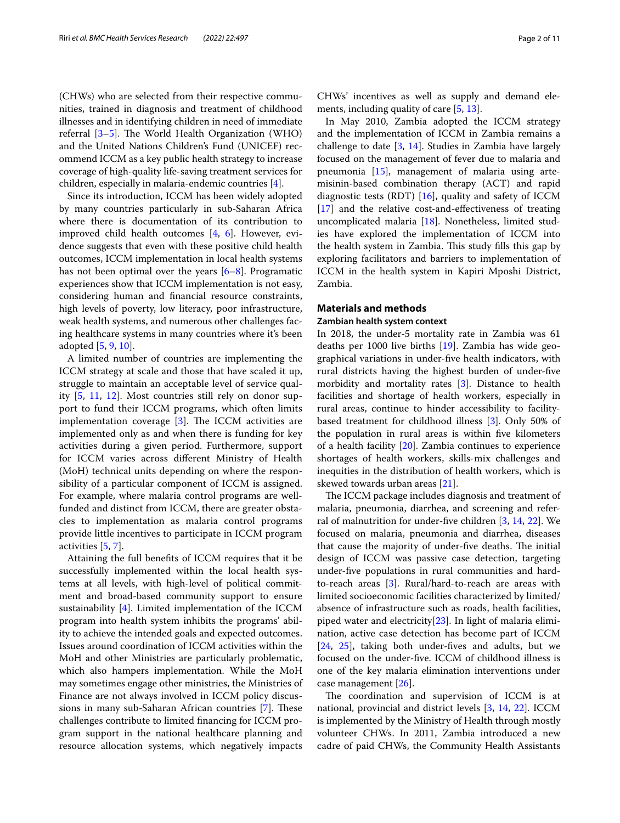(CHWs) who are selected from their respective communities, trained in diagnosis and treatment of childhood illnesses and in identifying children in need of immediate referral  $[3-5]$  $[3-5]$ . The World Health Organization (WHO) and the United Nations Children's Fund (UNICEF) recommend ICCM as a key public health strategy to increase coverage of high-quality life-saving treatment services for children, especially in malaria-endemic countries [[4\]](#page-9-4).

Since its introduction, ICCM has been widely adopted by many countries particularly in sub-Saharan Africa where there is documentation of its contribution to improved child health outcomes [\[4](#page-9-4), [6](#page-9-5)]. However, evidence suggests that even with these positive child health outcomes, ICCM implementation in local health systems has not been optimal over the years [\[6](#page-9-5)[–8](#page-9-6)]. Programatic experiences show that ICCM implementation is not easy, considering human and fnancial resource constraints, high levels of poverty, low literacy, poor infrastructure, weak health systems, and numerous other challenges facing healthcare systems in many countries where it's been adopted [\[5](#page-9-3), [9,](#page-9-7) [10](#page-9-8)].

A limited number of countries are implementing the ICCM strategy at scale and those that have scaled it up, struggle to maintain an acceptable level of service quality [[5](#page-9-3), [11,](#page-9-9) [12](#page-9-10)]. Most countries still rely on donor support to fund their ICCM programs, which often limits implementation coverage  $[3]$  $[3]$ . The ICCM activities are implemented only as and when there is funding for key activities during a given period. Furthermore, support for ICCM varies across diferent Ministry of Health (MoH) technical units depending on where the responsibility of a particular component of ICCM is assigned. For example, where malaria control programs are wellfunded and distinct from ICCM, there are greater obstacles to implementation as malaria control programs provide little incentives to participate in ICCM program activities [\[5](#page-9-3), [7\]](#page-9-11).

Attaining the full benefts of ICCM requires that it be successfully implemented within the local health systems at all levels, with high-level of political commitment and broad-based community support to ensure sustainability [\[4](#page-9-4)]. Limited implementation of the ICCM program into health system inhibits the programs' ability to achieve the intended goals and expected outcomes. Issues around coordination of ICCM activities within the MoH and other Ministries are particularly problematic, which also hampers implementation. While the MoH may sometimes engage other ministries, the Ministries of Finance are not always involved in ICCM policy discus-sions in many sub-Saharan African countries [[7\]](#page-9-11). These challenges contribute to limited fnancing for ICCM program support in the national healthcare planning and resource allocation systems, which negatively impacts CHWs' incentives as well as supply and demand elements, including quality of care [[5,](#page-9-3) [13](#page-9-12)].

In May 2010, Zambia adopted the ICCM strategy and the implementation of ICCM in Zambia remains a challenge to date  $[3, 14]$  $[3, 14]$  $[3, 14]$  $[3, 14]$  $[3, 14]$ . Studies in Zambia have largely focused on the management of fever due to malaria and pneumonia [\[15](#page-9-14)], management of malaria using artemisinin-based combination therapy (ACT) and rapid diagnostic tests (RDT) [\[16](#page-9-15)], quality and safety of ICCM [[17\]](#page-9-16) and the relative cost-and-effectiveness of treating uncomplicated malaria [[18\]](#page-9-17). Nonetheless, limited studies have explored the implementation of ICCM into the health system in Zambia. This study fills this gap by exploring facilitators and barriers to implementation of ICCM in the health system in Kapiri Mposhi District, Zambia.

# **Materials and methods**

# **Zambian health system context**

In 2018, the under-5 mortality rate in Zambia was 61 deaths per 1000 live births [\[19](#page-9-18)]. Zambia has wide geographical variations in under-fve health indicators, with rural districts having the highest burden of under-fve morbidity and mortality rates [[3\]](#page-9-2). Distance to health facilities and shortage of health workers, especially in rural areas, continue to hinder accessibility to facilitybased treatment for childhood illness [[3\]](#page-9-2). Only 50% of the population in rural areas is within fve kilometers of a health facility  $[20]$  $[20]$  $[20]$ . Zambia continues to experience shortages of health workers, skills-mix challenges and inequities in the distribution of health workers, which is skewed towards urban areas [\[21\]](#page-9-20).

The ICCM package includes diagnosis and treatment of malaria, pneumonia, diarrhea, and screening and referral of malnutrition for under-fve children [\[3](#page-9-2), [14](#page-9-13), [22\]](#page-9-21). We focused on malaria, pneumonia and diarrhea, diseases that cause the majority of under-five deaths. The initial design of ICCM was passive case detection, targeting under-fve populations in rural communities and hardto-reach areas [\[3](#page-9-2)]. Rural/hard-to-reach are areas with limited socioeconomic facilities characterized by limited/ absence of infrastructure such as roads, health facilities, piped water and electricity[[23](#page-9-22)]. In light of malaria elimination, active case detection has become part of ICCM [[24,](#page-9-23) [25](#page-9-24)], taking both under-fves and adults, but we focused on the under-fve. ICCM of childhood illness is one of the key malaria elimination interventions under case management [[26\]](#page-9-25).

The coordination and supervision of ICCM is at national, provincial and district levels [\[3,](#page-9-2) [14](#page-9-13), [22\]](#page-9-21). ICCM is implemented by the Ministry of Health through mostly volunteer CHWs. In 2011, Zambia introduced a new cadre of paid CHWs, the Community Health Assistants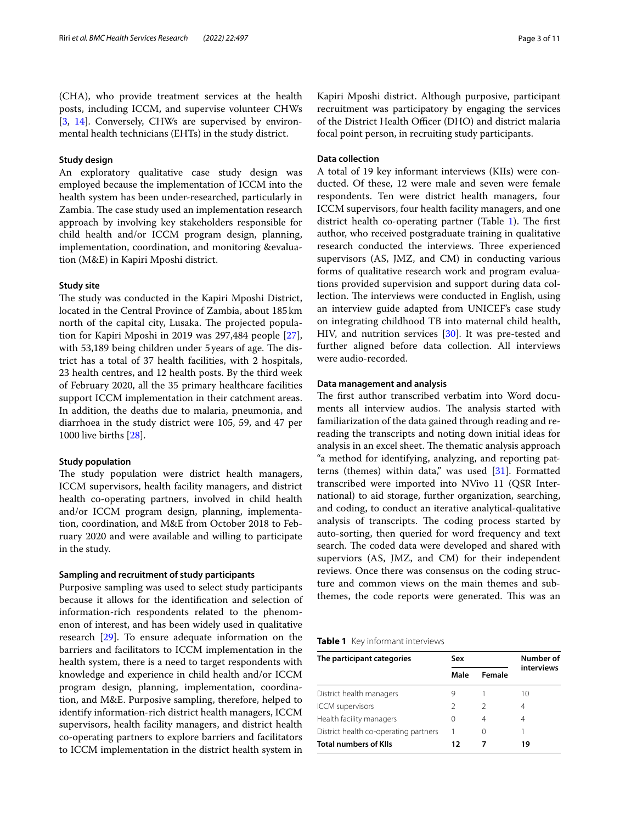# **Study design**

An exploratory qualitative case study design was employed because the implementation of ICCM into the health system has been under-researched, particularly in Zambia. The case study used an implementation research approach by involving key stakeholders responsible for child health and/or ICCM program design, planning, implementation, coordination, and monitoring &evaluation (M&E) in Kapiri Mposhi district.

# **Study site**

The study was conducted in the Kapiri Mposhi District, located in the Central Province of Zambia, about 185km north of the capital city, Lusaka. The projected population for Kapiri Mposhi in 2019 was 297,484 people [\[27](#page-9-26)], with 53,189 being children under 5 years of age. The district has a total of 37 health facilities, with 2 hospitals, 23 health centres, and 12 health posts. By the third week of February 2020, all the 35 primary healthcare facilities support ICCM implementation in their catchment areas. In addition, the deaths due to malaria, pneumonia, and diarrhoea in the study district were 105, 59, and 47 per 1000 live births [[28\]](#page-9-27).

# **Study population**

The study population were district health managers, ICCM supervisors, health facility managers, and district health co-operating partners, involved in child health and/or ICCM program design, planning, implementation, coordination, and M&E from October 2018 to February 2020 and were available and willing to participate in the study.

# **Sampling and recruitment of study participants**

Purposive sampling was used to select study participants because it allows for the identifcation and selection of information-rich respondents related to the phenomenon of interest, and has been widely used in qualitative research [\[29](#page-9-28)]. To ensure adequate information on the barriers and facilitators to ICCM implementation in the health system, there is a need to target respondents with knowledge and experience in child health and/or ICCM program design, planning, implementation, coordination, and M&E. Purposive sampling, therefore, helped to identify information-rich district health managers, ICCM supervisors, health facility managers, and district health co-operating partners to explore barriers and facilitators to ICCM implementation in the district health system in

Kapiri Mposhi district. Although purposive, participant recruitment was participatory by engaging the services of the District Health Officer (DHO) and district malaria focal point person, in recruiting study participants.

# **Data collection**

A total of 19 key informant interviews (KIIs) were conducted. Of these, 12 were male and seven were female respondents. Ten were district health managers, four ICCM supervisors, four health facility managers, and one district health co-operating partner (Table  $1$ ). The first author, who received postgraduate training in qualitative research conducted the interviews. Three experienced supervisors (AS, JMZ, and CM) in conducting various forms of qualitative research work and program evaluations provided supervision and support during data collection. The interviews were conducted in English, using an interview guide adapted from UNICEF's case study on integrating childhood TB into maternal child health, HIV, and nutrition services [\[30\]](#page-9-29). It was pre-tested and further aligned before data collection. All interviews were audio-recorded.

# **Data management and analysis**

The first author transcribed verbatim into Word documents all interview audios. The analysis started with familiarization of the data gained through reading and rereading the transcripts and noting down initial ideas for analysis in an excel sheet. The thematic analysis approach "a method for identifying, analyzing, and reporting patterns (themes) within data," was used  $[31]$  $[31]$ . Formatted transcribed were imported into NVivo 11 (QSR International) to aid storage, further organization, searching, and coding, to conduct an iterative analytical-qualitative analysis of transcripts. The coding process started by auto-sorting, then queried for word frequency and text search. The coded data were developed and shared with superviors (AS, JMZ, and CM) for their independent reviews. Once there was consensus on the coding structure and common views on the main themes and subthemes, the code reports were generated. This was an

## <span id="page-2-0"></span>**Table 1** Key informant interviews

| The participant categories            | Sex      |        | Number of  |
|---------------------------------------|----------|--------|------------|
|                                       | Male     | Female | interviews |
| District health managers              | 9        |        | 10         |
| <b>ICCM</b> supervisors               | 2        | 2      | 4          |
| Health facility managers              | $^{(1)}$ | 4      | 4          |
| District health co-operating partners |          | 0      |            |
| <b>Total numbers of Kils</b>          | 12       |        | 19         |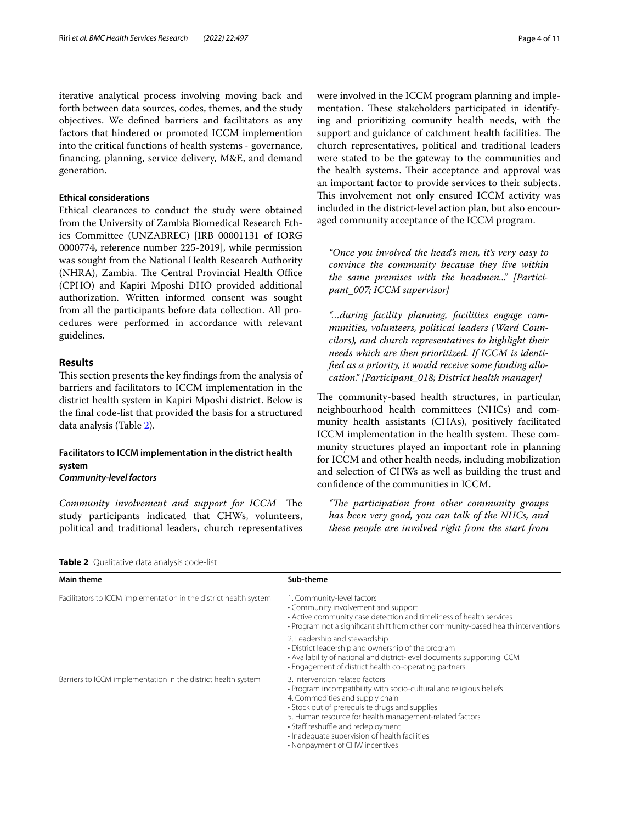iterative analytical process involving moving back and forth between data sources, codes, themes, and the study objectives. We defned barriers and facilitators as any factors that hindered or promoted ICCM implemention into the critical functions of health systems - governance, fnancing, planning, service delivery, M&E, and demand generation.

# **Ethical considerations**

Ethical clearances to conduct the study were obtained from the University of Zambia Biomedical Research Ethics Committee (UNZABREC) [IRB 00001131 of IORG 0000774, reference number 225-2019], while permission was sought from the National Health Research Authority (NHRA), Zambia. The Central Provincial Health Office (CPHO) and Kapiri Mposhi DHO provided additional authorization. Written informed consent was sought from all the participants before data collection. All procedures were performed in accordance with relevant guidelines.

# **Results**

This section presents the key findings from the analysis of barriers and facilitators to ICCM implementation in the district health system in Kapiri Mposhi district. Below is the fnal code-list that provided the basis for a structured data analysis (Table [2](#page-3-0)).

# **Facilitators to ICCM implementation in the district health system** *Community‑level factors*

*Community involvement and support for ICCM* The study participants indicated that CHWs, volunteers, political and traditional leaders, church representatives were involved in the ICCM program planning and implementation. These stakeholders participated in identifying and prioritizing comunity health needs, with the support and guidance of catchment health facilities. The church representatives, political and traditional leaders were stated to be the gateway to the communities and the health systems. Their acceptance and approval was an important factor to provide services to their subjects. This involvement not only ensured ICCM activity was included in the district-level action plan, but also encouraged community acceptance of the ICCM program.

*"Once you involved the head's men, it's very easy to convince the community because they live within the same premises with the headmen..." [Partici‑ pant\_007; ICCM supervisor]*

*"…during facility planning, facilities engage com‑ munities, volunteers, political leaders (Ward Coun‑ cilors), and church representatives to highlight their needs which are then prioritized. If ICCM is identi‑ fed as a priority, it would receive some funding allo‑ cation." [Participant\_018; District health manager]*

The community-based health structures, in particular, neighbourhood health committees (NHCs) and community health assistants (CHAs), positively facilitated ICCM implementation in the health system. These community structures played an important role in planning for ICCM and other health needs, including mobilization and selection of CHWs as well as building the trust and confdence of the communities in ICCM.

*"Te participation from other community groups has been very good, you can talk of the NHCs, and these people are involved right from the start from* 

<span id="page-3-0"></span>**Table 2** Qualitative data analysis code-list

| <b>Main theme</b>                                                 | Sub-theme                                                                                                                                                                                                                                                                                                                                                                       |
|-------------------------------------------------------------------|---------------------------------------------------------------------------------------------------------------------------------------------------------------------------------------------------------------------------------------------------------------------------------------------------------------------------------------------------------------------------------|
| Facilitators to ICCM implementation in the district health system | 1. Community-level factors<br>• Community involvement and support<br>• Active community case detection and timeliness of health services<br>• Program not a significant shift from other community-based health interventions                                                                                                                                                   |
|                                                                   | 2. Leadership and stewardship<br>• District leadership and ownership of the program<br>• Availability of national and district-level documents supporting ICCM<br>• Engagement of district health co-operating partners                                                                                                                                                         |
| Barriers to ICCM implementation in the district health system     | 3. Intervention related factors<br>. Program incompatibility with socio-cultural and religious beliefs<br>4. Commodities and supply chain<br>• Stock out of prerequisite drugs and supplies<br>5. Human resource for health management-related factors<br>• Staff reshuffle and redeployment<br>· Inadequate supervision of health facilities<br>• Nonpayment of CHW incentives |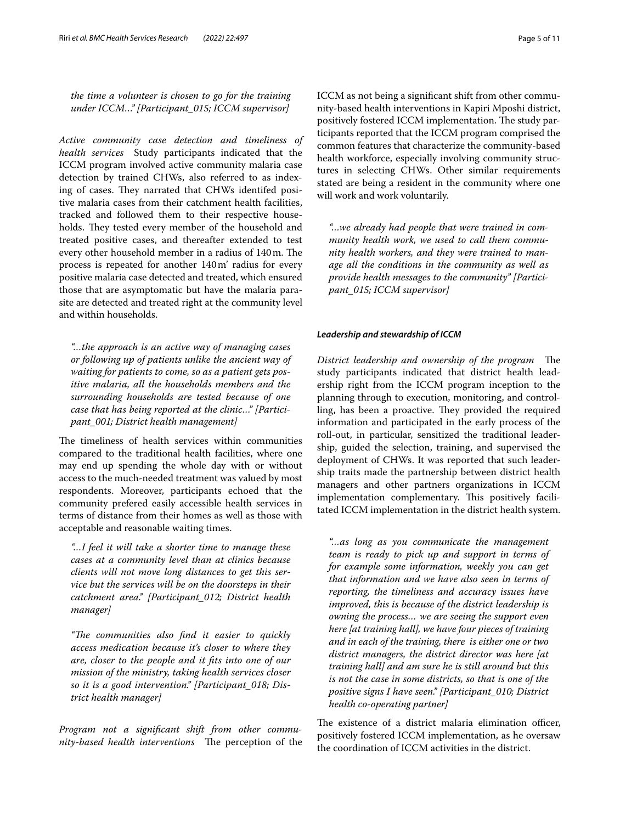*the time a volunteer is chosen to go for the training under ICCM…" [Participant\_015; ICCM supervisor]*

*Active community case detection and timeliness of health services* Study participants indicated that the ICCM program involved active community malaria case detection by trained CHWs, also referred to as indexing of cases. They narrated that CHWs identifed positive malaria cases from their catchment health facilities, tracked and followed them to their respective households. They tested every member of the household and treated positive cases, and thereafter extended to test every other household member in a radius of 140 m. The process is repeated for another 140m' radius for every positive malaria case detected and treated, which ensured those that are asymptomatic but have the malaria parasite are detected and treated right at the community level and within households.

*"…the approach is an active way of managing cases or following up of patients unlike the ancient way of waiting for patients to come, so as a patient gets pos‑ itive malaria, all the households members and the surrounding households are tested because of one case that has being reported at the clinic…" [Partici‑ pant\_001; District health management]*

The timeliness of health services within communities compared to the traditional health facilities, where one may end up spending the whole day with or without access to the much-needed treatment was valued by most respondents. Moreover, participants echoed that the community prefered easily accessible health services in terms of distance from their homes as well as those with acceptable and reasonable waiting times.

*"…I feel it will take a shorter time to manage these cases at a community level than at clinics because clients will not move long distances to get this ser‑ vice but the services will be on the doorsteps in their catchment area." [Participant\_012; District health manager]*

*"Te communities also fnd it easier to quickly access medication because it's closer to where they are, closer to the people and it fts into one of our mission of the ministry, taking health services closer so it is a good intervention." [Participant\_018; Dis‑ trict health manager]*

*Program not a signifcant shift from other commu‑ nity-based health interventions* The perception of the ICCM as not being a signifcant shift from other community-based health interventions in Kapiri Mposhi district, positively fostered ICCM implementation. The study participants reported that the ICCM program comprised the common features that characterize the community-based health workforce, especially involving community structures in selecting CHWs. Other similar requirements stated are being a resident in the community where one will work and work voluntarily.

*"…we already had people that were trained in com‑ munity health work, we used to call them commu‑ nity health workers, and they were trained to man‑ age all the conditions in the community as well as provide health messages to the community" [Partici‑ pant\_015; ICCM supervisor]*

# *Leadership and stewardship of ICCM*

*District leadership and ownership of the program* The study participants indicated that district health leadership right from the ICCM program inception to the planning through to execution, monitoring, and controlling, has been a proactive. They provided the required information and participated in the early process of the roll-out, in particular, sensitized the traditional leadership, guided the selection, training, and supervised the deployment of CHWs. It was reported that such leadership traits made the partnership between district health managers and other partners organizations in ICCM implementation complementary. This positively facilitated ICCM implementation in the district health system.

*"…as long as you communicate the management team is ready to pick up and support in terms of for example some information, weekly you can get that information and we have also seen in terms of reporting, the timeliness and accuracy issues have improved, this is because of the district leadership is owning the process… we are seeing the support even here [at training hall], we have four pieces of training and in each of the training, there is either one or two district managers, the district director was here [at training hall] and am sure he is still around but this is not the case in some districts, so that is one of the positive signs I have seen." [Participant\_010; District health co-operating partner]*

The existence of a district malaria elimination officer, positively fostered ICCM implementation, as he oversaw the coordination of ICCM activities in the district.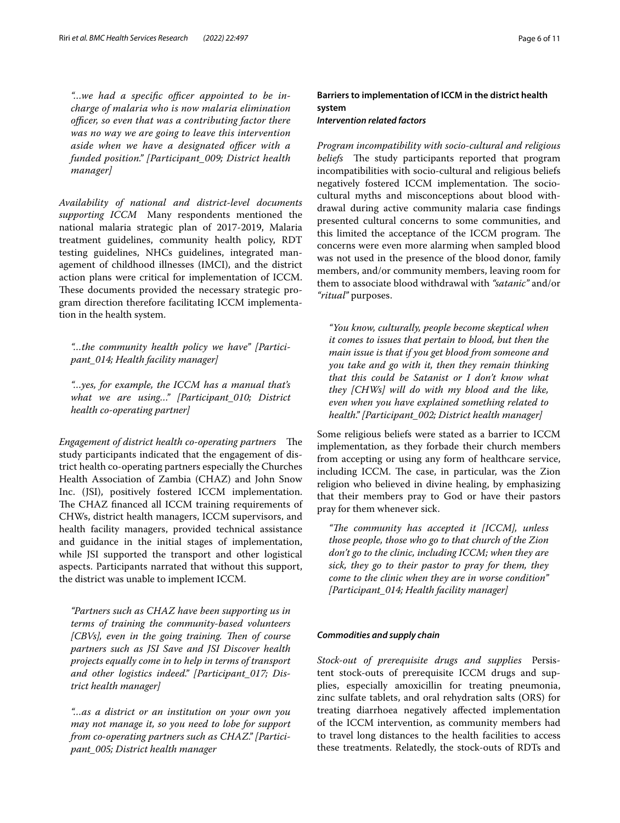"...we had a specific officer appointed to be in*charge of malaria who is now malaria elimination officer, so even that was a contributing factor there was no way we are going to leave this intervention aside when we have a designated officer with a funded position." [Participant\_009; District health manager]*

*Availability of national and district‑level documents supporting ICCM* Many respondents mentioned the national malaria strategic plan of 2017-2019, Malaria treatment guidelines, community health policy, RDT testing guidelines, NHCs guidelines, integrated management of childhood illnesses (IMCI), and the district action plans were critical for implementation of ICCM. These documents provided the necessary strategic program direction therefore facilitating ICCM implementation in the health system.

*"…the community health policy we have" [Partici‑ pant\_014; Health facility manager]*

*"…yes, for example, the ICCM has a manual that's what we are using…" [Participant\_010; District health co-operating partner]*

*Engagement of district health co-operating partners* The study participants indicated that the engagement of district health co-operating partners especially the Churches Health Association of Zambia (CHAZ) and John Snow Inc. (JSI), positively fostered ICCM implementation. The CHAZ financed all ICCM training requirements of CHWs, district health managers, ICCM supervisors, and health facility managers, provided technical assistance and guidance in the initial stages of implementation, while JSI supported the transport and other logistical aspects. Participants narrated that without this support, the district was unable to implement ICCM.

*"Partners such as CHAZ have been supporting us in terms of training the community-based volunteers [CBVs], even in the going training. Then of course partners such as JSI Save and JSI Discover health projects equally come in to help in terms of transport and other logistics indeed." [Participant\_017; Dis‑ trict health manager]*

*"…as a district or an institution on your own you may not manage it, so you need to lobe for support from co-operating partners such as CHAZ." [Partici‑ pant\_005; District health manager*

**Barriers to implementation of ICCM in the district health system** *Intervention related factors*

*Program incompatibility with socio‑cultural and religious beliefs* The study participants reported that program incompatibilities with socio-cultural and religious beliefs negatively fostered ICCM implementation. The sociocultural myths and misconceptions about blood withdrawal during active community malaria case fndings presented cultural concerns to some communities, and this limited the acceptance of the ICCM program. The concerns were even more alarming when sampled blood was not used in the presence of the blood donor, family members, and/or community members, leaving room for them to associate blood withdrawal with *"satanic"* and/or *"ritual"* purposes.

*"You know, culturally, people become skeptical when it comes to issues that pertain to blood, but then the main issue is that if you get blood from someone and you take and go with it, then they remain thinking that this could be Satanist or I don't know what they [CHWs] will do with my blood and the like, even when you have explained something related to health." [Participant\_002; District health manager]*

Some religious beliefs were stated as a barrier to ICCM implementation, as they forbade their church members from accepting or using any form of healthcare service, including ICCM. The case, in particular, was the Zion religion who believed in divine healing, by emphasizing that their members pray to God or have their pastors pray for them whenever sick.

*"Te community has accepted it [ICCM], unless those people, those who go to that church of the Zion don't go to the clinic, including ICCM; when they are sick, they go to their pastor to pray for them, they come to the clinic when they are in worse condition" [Participant\_014; Health facility manager]*

# *Commodities and supply chain*

*Stock‑out of prerequisite drugs and supplies* Persistent stock-outs of prerequisite ICCM drugs and supplies, especially amoxicillin for treating pneumonia, zinc sulfate tablets, and oral rehydration salts (ORS) for treating diarrhoea negatively afected implementation of the ICCM intervention, as community members had to travel long distances to the health facilities to access these treatments. Relatedly, the stock-outs of RDTs and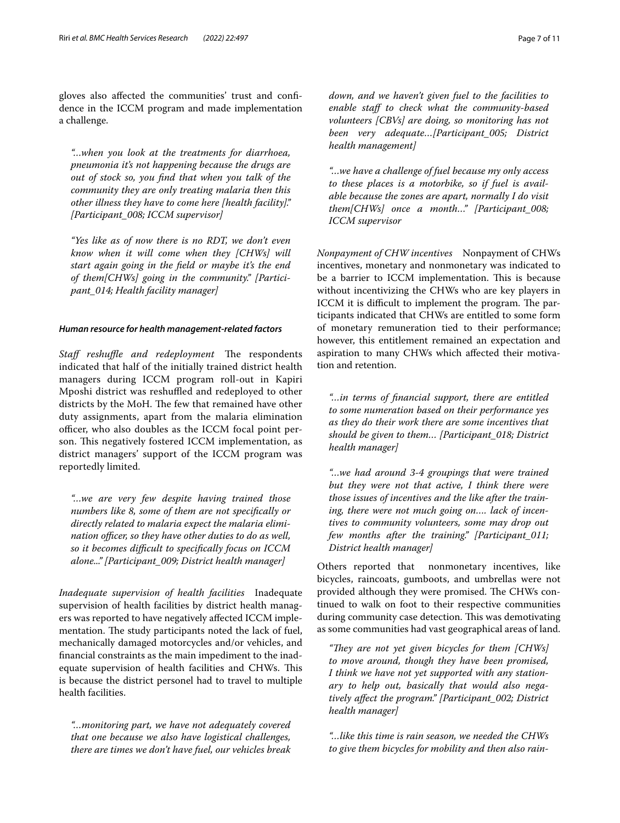gloves also afected the communities' trust and confdence in the ICCM program and made implementation a challenge.

*"…when you look at the treatments for diarrhoea, pneumonia it's not happening because the drugs are out of stock so, you fnd that when you talk of the community they are only treating malaria then this other illness they have to come here [health facility]." [Participant\_008; ICCM supervisor]*

*"Yes like as of now there is no RDT, we don't even know when it will come when they [CHWs] will start again going in the feld or maybe it's the end of them[CHWs] going in the community." [Partici‑ pant\_014; Health facility manager]*

## *Human resource for health management‑related factors*

*Staff reshuffle and redeployment* The respondents indicated that half of the initially trained district health managers during ICCM program roll-out in Kapiri Mposhi district was reshuffled and redeployed to other districts by the MoH. The few that remained have other duty assignments, apart from the malaria elimination officer, who also doubles as the ICCM focal point person. This negatively fostered ICCM implementation, as district managers' support of the ICCM program was reportedly limited.

*"…we are very few despite having trained those numbers like 8, some of them are not specifcally or directly related to malaria expect the malaria elimi‑ nation officer, so they have other duties to do as well, so it becomes difcult to specifcally focus on ICCM alone..." [Participant\_009; District health manager]*

*Inadequate supervision of health facilities* Inadequate supervision of health facilities by district health managers was reported to have negatively afected ICCM implementation. The study participants noted the lack of fuel, mechanically damaged motorcycles and/or vehicles, and fnancial constraints as the main impediment to the inadequate supervision of health facilities and CHWs. This is because the district personel had to travel to multiple health facilities.

*"…monitoring part, we have not adequately covered that one because we also have logistical challenges, there are times we don't have fuel, our vehicles break* 

*down, and we haven't given fuel to the facilities to enable staf to check what the community-based volunteers [CBVs] are doing, so monitoring has not been very adequate…[Participant\_005; District health management]*

*"…we have a challenge of fuel because my only access to these places is a motorbike, so if fuel is avail‑ able because the zones are apart, normally I do visit them[CHWs] once a month…" [Participant\_008; ICCM supervisor*

*Nonpayment of CHW incentives* Nonpayment of CHWs incentives, monetary and nonmonetary was indicated to be a barrier to ICCM implementation. This is because without incentivizing the CHWs who are key players in ICCM it is difficult to implement the program. The participants indicated that CHWs are entitled to some form of monetary remuneration tied to their performance; however, this entitlement remained an expectation and aspiration to many CHWs which afected their motivation and retention.

*"…in terms of fnancial support, there are entitled to some numeration based on their performance yes as they do their work there are some incentives that should be given to them… [Participant\_018; District health manager]*

*"…we had around 3-4 groupings that were trained but they were not that active, I think there were those issues of incentives and the like after the train‑ ing, there were not much going on…. lack of incen‑ tives to community volunteers, some may drop out few months after the training." [Participant\_011; District health manager]*

Others reported that nonmonetary incentives, like bicycles, raincoats, gumboots, and umbrellas were not provided although they were promised. The CHWs continued to walk on foot to their respective communities during community case detection. This was demotivating as some communities had vast geographical areas of land.

"They are not yet given bicycles for them [CHWs] *to move around, though they have been promised, I think we have not yet supported with any station‑ ary to help out, basically that would also nega‑ tively afect the program." [Participant\_002; District health manager]*

*"…like this time is rain season, we needed the CHWs to give them bicycles for mobility and then also rain‑*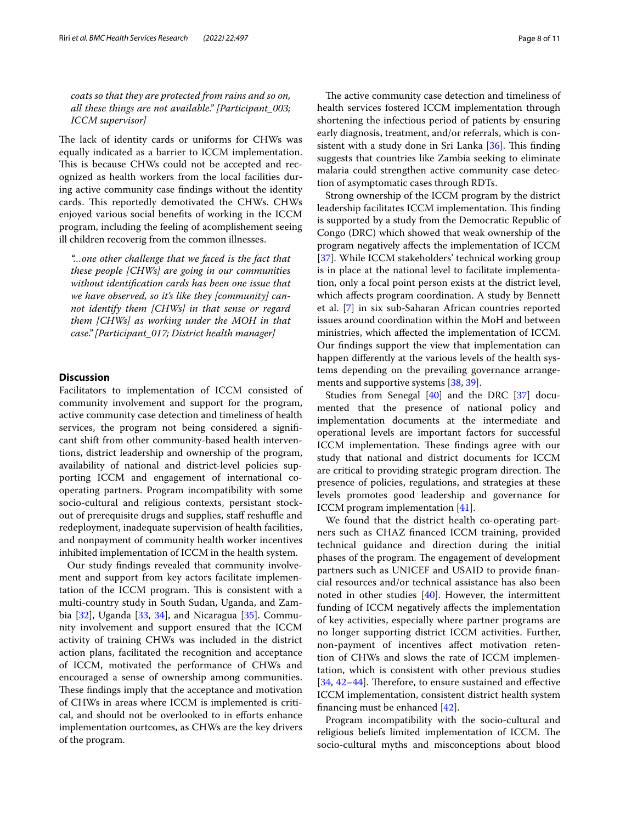*coats so that they are protected from rains and so on, all these things are not available." [Participant\_003; ICCM supervisor]*

The lack of identity cards or uniforms for CHWs was equally indicated as a barrier to ICCM implementation. This is because CHWs could not be accepted and recognized as health workers from the local facilities during active community case fndings without the identity cards. This reportedly demotivated the CHWs. CHWs enjoyed various social benefts of working in the ICCM program, including the feeling of acomplishement seeing ill children recoverig from the common illnesses.

*"…one other challenge that we faced is the fact that these people [CHWs] are going in our communities without identifcation cards has been one issue that we have observed, so it's like they [community] can‑ not identify them [CHWs] in that sense or regard them [CHWs] as working under the MOH in that case." [Participant\_017; District health manager]*

# **Discussion**

Facilitators to implementation of ICCM consisted of community involvement and support for the program, active community case detection and timeliness of health services, the program not being considered a signifcant shift from other community-based health interventions, district leadership and ownership of the program, availability of national and district-level policies supporting ICCM and engagement of international cooperating partners. Program incompatibility with some socio-cultural and religious contexts, persistant stockout of prerequisite drugs and supplies, staff reshuffle and redeployment, inadequate supervision of health facilities, and nonpayment of community health worker incentives inhibited implementation of ICCM in the health system.

Our study fndings revealed that community involvement and support from key actors facilitate implementation of the ICCM program. This is consistent with a multi-country study in South Sudan, Uganda, and Zambia [[32\]](#page-10-0), Uganda [[33,](#page-10-1) [34](#page-10-2)], and Nicaragua [[35](#page-10-3)]. Community involvement and support ensured that the ICCM activity of training CHWs was included in the district action plans, facilitated the recognition and acceptance of ICCM, motivated the performance of CHWs and encouraged a sense of ownership among communities. These findings imply that the acceptance and motivation of CHWs in areas where ICCM is implemented is critical, and should not be overlooked to in eforts enhance implementation ourtcomes, as CHWs are the key drivers of the program.

The active community case detection and timeliness of health services fostered ICCM implementation through shortening the infectious period of patients by ensuring early diagnosis, treatment, and/or referrals, which is con-sistent with a study done in Sri Lanka [\[36](#page-10-4)]. This finding suggests that countries like Zambia seeking to eliminate malaria could strengthen active community case detection of asymptomatic cases through RDTs.

Strong ownership of the ICCM program by the district leadership facilitates ICCM implementation. This finding is supported by a study from the Democratic Republic of Congo (DRC) which showed that weak ownership of the program negatively afects the implementation of ICCM [[37\]](#page-10-5). While ICCM stakeholders' technical working group is in place at the national level to facilitate implementation, only a focal point person exists at the district level, which afects program coordination. A study by Bennett et al. [[7\]](#page-9-11) in six sub-Saharan African countries reported issues around coordination within the MoH and between ministries, which afected the implementation of ICCM. Our fndings support the view that implementation can happen diferently at the various levels of the health systems depending on the prevailing governance arrangements and supportive systems [\[38,](#page-10-6) [39](#page-10-7)].

Studies from Senegal [\[40\]](#page-10-8) and the DRC [[37](#page-10-5)] documented that the presence of national policy and implementation documents at the intermediate and operational levels are important factors for successful ICCM implementation. These findings agree with our study that national and district documents for ICCM are critical to providing strategic program direction. The presence of policies, regulations, and strategies at these levels promotes good leadership and governance for ICCM program implementation [[41](#page-10-9)].

We found that the district health co-operating partners such as CHAZ fnanced ICCM training, provided technical guidance and direction during the initial phases of the program. The engagement of development partners such as UNICEF and USAID to provide fnancial resources and/or technical assistance has also been noted in other studies [[40\]](#page-10-8). However, the intermittent funding of ICCM negatively afects the implementation of key activities, especially where partner programs are no longer supporting district ICCM activities. Further, non-payment of incentives afect motivation retention of CHWs and slows the rate of ICCM implementation, which is consistent with other previous studies  $[34, 42-44]$  $[34, 42-44]$  $[34, 42-44]$  $[34, 42-44]$ . Therefore, to ensure sustained and effective ICCM implementation, consistent district health system fnancing must be enhanced [\[42](#page-10-10)].

Program incompatibility with the socio-cultural and religious beliefs limited implementation of ICCM. The socio-cultural myths and misconceptions about blood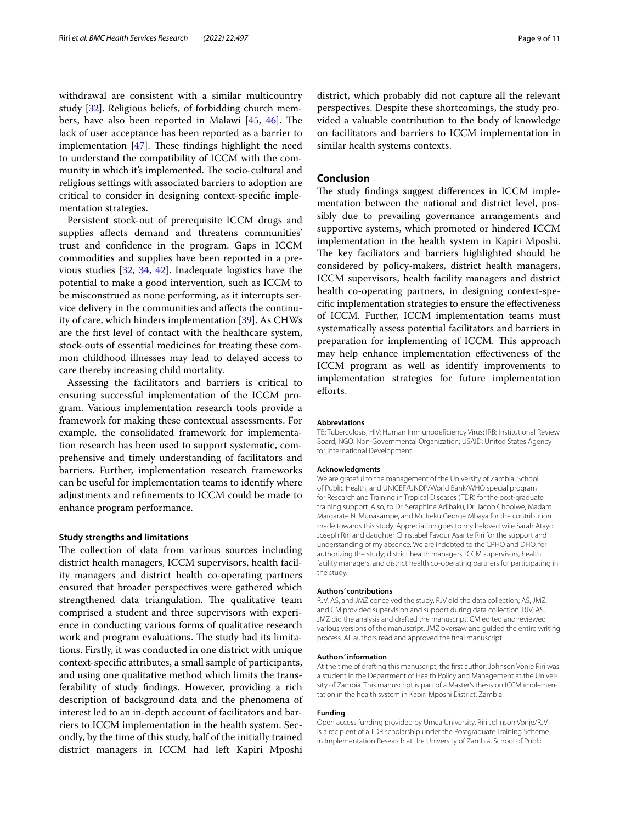withdrawal are consistent with a similar multicountry study [\[32](#page-10-0)]. Religious beliefs, of forbidding church members, have also been reported in Malawi  $[45, 46]$  $[45, 46]$  $[45, 46]$  $[45, 46]$ . The lack of user acceptance has been reported as a barrier to implementation  $[47]$ . These findings highlight the need to understand the compatibility of ICCM with the community in which it's implemented. The socio-cultural and religious settings with associated barriers to adoption are critical to consider in designing context-specifc implementation strategies.

Persistent stock-out of prerequisite ICCM drugs and supplies afects demand and threatens communities' trust and confdence in the program. Gaps in ICCM commodities and supplies have been reported in a previous studies [[32](#page-10-0), [34](#page-10-2), [42](#page-10-10)]. Inadequate logistics have the potential to make a good intervention, such as ICCM to be misconstrued as none performing, as it interrupts service delivery in the communities and afects the continuity of care, which hinders implementation [\[39](#page-10-7)]. As CHWs are the frst level of contact with the healthcare system, stock-outs of essential medicines for treating these common childhood illnesses may lead to delayed access to care thereby increasing child mortality.

Assessing the facilitators and barriers is critical to ensuring successful implementation of the ICCM program. Various implementation research tools provide a framework for making these contextual assessments. For example, the consolidated framework for implementation research has been used to support systematic, comprehensive and timely understanding of facilitators and barriers. Further, implementation research frameworks can be useful for implementation teams to identify where adjustments and refnements to ICCM could be made to enhance program performance.

# **Study strengths and limitations**

The collection of data from various sources including district health managers, ICCM supervisors, health facility managers and district health co-operating partners ensured that broader perspectives were gathered which strengthened data triangulation. The qualitative team comprised a student and three supervisors with experience in conducting various forms of qualitative research work and program evaluations. The study had its limitations. Firstly, it was conducted in one district with unique context-specifc attributes, a small sample of participants, and using one qualitative method which limits the transferability of study fndings. However, providing a rich description of background data and the phenomena of interest led to an in-depth account of facilitators and barriers to ICCM implementation in the health system. Secondly, by the time of this study, half of the initially trained district managers in ICCM had left Kapiri Mposhi

district, which probably did not capture all the relevant perspectives. Despite these shortcomings, the study provided a valuable contribution to the body of knowledge on facilitators and barriers to ICCM implementation in similar health systems contexts.

# **Conclusion**

The study findings suggest differences in ICCM implementation between the national and district level, possibly due to prevailing governance arrangements and supportive systems, which promoted or hindered ICCM implementation in the health system in Kapiri Mposhi. The key faciliators and barriers highlighted should be considered by policy-makers, district health managers, ICCM supervisors, health facility managers and district health co-operating partners, in designing context-specifc implementation strategies to ensure the efectiveness of ICCM. Further, ICCM implementation teams must systematically assess potential facilitators and barriers in preparation for implementing of ICCM. This approach may help enhance implementation efectiveness of the ICCM program as well as identify improvements to implementation strategies for future implementation eforts.

#### **Abbreviations**

TB: Tuberculosis; HIV: Human Immunodefciency Virus; IRB: Institutional Review Board; NGO: Non-Governmental Organization; USAID: United States Agency for International Development.

## **Acknowledgments**

We are grateful to the management of the University of Zambia, School of Public Health, and UNICEF/UNDP/World Bank/WHO special program for Research and Training in Tropical Diseases (TDR) for the post-graduate training support. Also, to Dr. Seraphine Adibaku, Dr. Jacob Choolwe, Madam Margarate N. Munakampe, and Mr. Ireku George Mbaya for the contribution made towards this study. Appreciation goes to my beloved wife Sarah Atayo Joseph Riri and daughter Christabel Favour Asante Riri for the support and understanding of my absence. We are indebted to the CPHO and DHO, for authorizing the study; district health managers, ICCM supervisors, health facility managers, and district health co-operating partners for participating in the study.

#### **Authors' contributions**

RJV, AS, and JMZ conceived the study. RJV did the data collection; AS, JMZ, and CM provided supervision and support during data collection. RJV, AS, JMZ did the analysis and drafted the manuscript. CM edited and reviewed various versions of the manuscript. JMZ oversaw and guided the entire writing process. All authors read and approved the fnal manuscript.

#### **Authors' information**

At the time of drafting this manuscript, the frst author: Johnson Vonje Riri was a student in the Department of Health Policy and Management at the University of Zambia. This manuscript is part of a Master's thesis on ICCM implementation in the health system in Kapiri Mposhi District, Zambia.

#### **Funding**

Open access funding provided by Umea University. Riri Johnson Vonje/RJV is a recipient of a TDR scholarship under the Postgraduate Training Scheme in Implementation Research at the University of Zambia, School of Public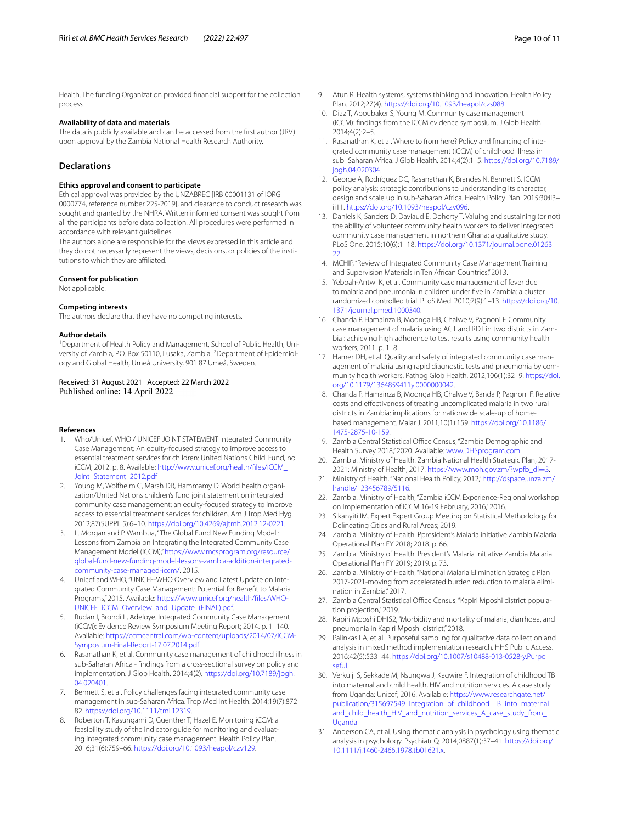Health. The funding Organization provided fnancial support for the collection process.

## **Availability of data and materials**

The data is publicly available and can be accessed from the frst author (JRV) upon approval by the Zambia National Health Research Authority.

#### **Declarations**

#### **Ethics approval and consent to participate**

Ethical approval was provided by the UNZABREC [IRB 00001131 of IORG 0000774, reference number 225-2019], and clearance to conduct research was sought and granted by the NHRA. Written informed consent was sought from all the participants before data collection. All procedures were performed in accordance with relevant guidelines.

The authors alone are responsible for the views expressed in this article and they do not necessarily represent the views, decisions, or policies of the institutions to which they are affiliated.

#### **Consent for publication**

Not applicable.

#### **Competing interests**

The authors declare that they have no competing interests.

#### **Author details**

<sup>1</sup> Department of Health Policy and Management, School of Public Health, University of Zambia, P.O. Box 50110, Lusaka, Zambia. <sup>2</sup> Department of Epidemiology and Global Health, Umeå University, 901 87 Umeå, Sweden.

Received: 31 August 2021 Accepted: 22 March 2022 Published online: 14 April 2022

#### **References**

- <span id="page-9-0"></span>1. Who/Unicef. WHO / UNICEF JOINT STATEMENT Integrated Community Case Management: An equity-focused strategy to improve access to essential treatment services for children: United Nations Child. Fund, no. iCCM; 2012. p. 8. Available: [http://www.unicef.org/health/fles/iCCM\\_](http://www.unicef.org/health/files/iCCM_Joint_Statement_2012.pdf) [Joint\\_Statement\\_2012.pdf](http://www.unicef.org/health/files/iCCM_Joint_Statement_2012.pdf)
- <span id="page-9-1"></span>2. Young M, Wolfheim C, Marsh DR, Hammamy D. World health organization/United Nations children's fund joint statement on integrated community case management: an equity-focused strategy to improve access to essential treatment services for children. Am J Trop Med Hyg. 2012;87(SUPPL 5):6–10.<https://doi.org/10.4269/ajtmh.2012.12-0221>.
- <span id="page-9-2"></span>3. L. Morgan and P. Wambua, "The Global Fund New Funding Model : Lessons from Zambia on Integrating the Integrated Community Case Management Model (iCCM)," [https://www.mcsprogram.org/resource/](https://www.mcsprogram.org/resource/global-fund-new-funding-model-lessons-zambia-addition-integrated-community-case-managed-iccm/) [global-fund-new-funding-model-lessons-zambia-addition-integrated](https://www.mcsprogram.org/resource/global-fund-new-funding-model-lessons-zambia-addition-integrated-community-case-managed-iccm/)[community-case-managed-iccm/.](https://www.mcsprogram.org/resource/global-fund-new-funding-model-lessons-zambia-addition-integrated-community-case-managed-iccm/) 2015.
- <span id="page-9-4"></span>4. Unicef and WHO, "UNICEF-WHO Overview and Latest Update on Integrated Community Case Management: Potential for Beneft to Malaria Programs," 2015. Available: [https://www.unicef.org/health/fles/WHO-](https://www.unicef.org/health/files/WHO-UNICEF_iCCM_Overview_and_Update_(FINAL).pdf)[UNICEF\\_iCCM\\_Overview\\_and\\_Update\\_\(FINAL\).pdf.](https://www.unicef.org/health/files/WHO-UNICEF_iCCM_Overview_and_Update_(FINAL).pdf)
- <span id="page-9-3"></span>5. Rudan I, Brondi L, Adeloye. Integrated Community Case Management (iCCM): Evidence Review Symposium Meeting Report; 2014. p. 1–140. Available: [https://ccmcentral.com/wp-content/uploads/2014/07/iCCM-](https://ccmcentral.com/wp-content/uploads/2014/07/iCCM-Symposium-Final-Report-17.07.2014.pdf)[Symposium-Final-Report-17.07.2014.pdf](https://ccmcentral.com/wp-content/uploads/2014/07/iCCM-Symposium-Final-Report-17.07.2014.pdf)
- <span id="page-9-5"></span>6. Rasanathan K, et al. Community case management of childhood illness in sub-Saharan Africa - fndings from a cross-sectional survey on policy and implementation. J Glob Health. 2014;4(2). [https://doi.org/10.7189/jogh.](https://doi.org/10.7189/jogh.04.020401) [04.020401](https://doi.org/10.7189/jogh.04.020401).
- <span id="page-9-11"></span>7. Bennett S, et al. Policy challenges facing integrated community case management in sub-Saharan Africa. Trop Med Int Health. 2014;19(7):872– 82. <https://doi.org/10.1111/tmi.12319>.
- <span id="page-9-6"></span>8. Roberton T, Kasungami D, Guenther T, Hazel E. Monitoring iCCM: a feasibility study of the indicator guide for monitoring and evaluating integrated community case management. Health Policy Plan. 2016;31(6):759–66. <https://doi.org/10.1093/heapol/czv129>.
- <span id="page-9-7"></span>9. Atun R. Health systems, systems thinking and innovation. Health Policy Plan. 2012;27(4). [https://doi.org/10.1093/heapol/czs088.](https://doi.org/10.1093/heapol/czs088)
- <span id="page-9-8"></span>10. Diaz T, Aboubaker S, Young M. Community case management (iCCM): fndings from the iCCM evidence symposium. J Glob Health. 2014;4(2):2–5.
- <span id="page-9-9"></span>11. Rasanathan K, et al. Where to from here? Policy and fnancing of integrated community case management (iCCM) of childhood illness in sub–Saharan Africa. J Glob Health. 2014;4(2):1–5. [https://doi.org/10.7189/](https://doi.org/10.7189/jogh.04.020304) [jogh.04.020304](https://doi.org/10.7189/jogh.04.020304).
- <span id="page-9-10"></span>12. George A, Rodríguez DC, Rasanathan K, Brandes N, Bennett S. ICCM policy analysis: strategic contributions to understanding its character, design and scale up in sub-Saharan Africa. Health Policy Plan. 2015;30:ii3– ii11.<https://doi.org/10.1093/heapol/czv096>.
- <span id="page-9-12"></span>13. Daniels K, Sanders D, Daviaud E, Doherty T. Valuing and sustaining (or not) the ability of volunteer community health workers to deliver integrated community case management in northern Ghana: a qualitative study. PLoS One. 2015;10(6):1–18. [https://doi.org/10.1371/journal.pone.01263](https://doi.org/10.1371/journal.pone.0126322)  $22.2$  $22.2$
- <span id="page-9-13"></span>14. MCHIP, "Review of Integrated Community Case Management Training and Supervision Materials in Ten African Countries," 2013.
- <span id="page-9-14"></span>15. Yeboah-Antwi K, et al. Community case management of fever due to malaria and pneumonia in children under fve in Zambia: a cluster randomized controlled trial. PLoS Med. 2010;7(9):1–13. [https://doi.org/10.](https://doi.org/10.1371/journal.pmed.1000340) [1371/journal.pmed.1000340.](https://doi.org/10.1371/journal.pmed.1000340)
- <span id="page-9-15"></span>16. Chanda P, Hamainza B, Moonga HB, Chalwe V, Pagnoni F. Community case management of malaria using ACT and RDT in two districts in Zambia : achieving high adherence to test results using community health workers; 2011. p. 1–8.
- <span id="page-9-16"></span>17. Hamer DH, et al. Quality and safety of integrated community case management of malaria using rapid diagnostic tests and pneumonia by community health workers. Pathog Glob Health. 2012;106(1):32–9. [https://doi.](https://doi.org/10.1179/1364859411y.0000000042) [org/10.1179/1364859411y.0000000042](https://doi.org/10.1179/1364859411y.0000000042).
- <span id="page-9-17"></span>18. Chanda P, Hamainza B, Moonga HB, Chalwe V, Banda P, Pagnoni F. Relative costs and efectiveness of treating uncomplicated malaria in two rural districts in Zambia: implications for nationwide scale-up of homebased management. Malar J. 2011;10(1):159. [https://doi.org/10.1186/](https://doi.org/10.1186/1475-2875-10-159) [1475-2875-10-159](https://doi.org/10.1186/1475-2875-10-159).
- <span id="page-9-18"></span>19. Zambia Central Statistical Office Census, "Zambia Demographic and Health Survey 2018," 2020. Available: [www.DHSprogram.com](http://www.dhsprogram.com).
- <span id="page-9-19"></span>20. Zambia. Ministry of Health. Zambia National Health Strategic Plan, 2017- 2021: Ministry of Health; 2017. [https://www.moh.gov.zm/?wpfb\\_dl](https://www.moh.gov.zm/?wpfb_dl=3)=3.
- <span id="page-9-20"></span>21. Ministry of Health, "National Health Policy, 2012," [http://dspace.unza.zm/](http://dspace.unza.zm/handle/123456789/5116) [handle/123456789/5116](http://dspace.unza.zm/handle/123456789/5116).
- <span id="page-9-21"></span>22. Zambia. Ministry of Health, "Zambia iCCM Experience-Regional workshop on Implementation of iCCM 16-19 February, 2016," 2016.
- <span id="page-9-22"></span>23. Sikanyiti IM. Expert Expert Group Meeting on Statistical Methodology for Delineating Cities and Rural Areas; 2019.
- <span id="page-9-23"></span>24. Zambia. Ministry of Health. Ppresident's Malaria initiative Zambia Malaria Operational Plan FY 2018; 2018. p. 66.
- <span id="page-9-24"></span>25. Zambia. Ministry of Health. President's Malaria initiative Zambia Malaria Operational Plan FY 2019; 2019. p. 73.
- <span id="page-9-25"></span>26. Zambia. Ministry of Health, "National Malaria Elimination Strategic Plan 2017-2021-moving from accelerated burden reduction to malaria elimination in Zambia," 2017.
- <span id="page-9-26"></span>27. Zambia Central Statistical Office Census, "Kapiri Mposhi district population projection," 2019.
- <span id="page-9-27"></span>28. Kapiri Mposhi DHIS2, "Morbidity and mortality of malaria, diarrhoea, and pneumonia in Kapiri Mposhi district," 2018.
- <span id="page-9-28"></span>29. Palinkas LA, et al. Purposeful sampling for qualitative data collection and analysis in mixed method implementation research. HHS Public Access. 2016;42(5):533–44. [https://doi.org/10.1007/s10488-013-0528-y.Purpo](https://doi.org/10.1007/s10488-013-0528-y.Purposeful) [seful.](https://doi.org/10.1007/s10488-013-0528-y.Purposeful)
- <span id="page-9-29"></span>30. Verkuijl S, Sekkade M, Nsungwa J, Kagwire F. Integration of childhood TB into maternal and child health, HIV and nutrition services. A case study from Uganda: Unicef; 2016. Available: [https://www.researchgate.net/](https://www.researchgate.net/publication/315697549_Integration_of_childhood_TB_into_maternal_and_child_health_HIV_and_nutrition_services_A_case_study_from_Uganda) [publication/315697549\\_Integration\\_of\\_childhood\\_TB\\_into\\_maternal\\_](https://www.researchgate.net/publication/315697549_Integration_of_childhood_TB_into_maternal_and_child_health_HIV_and_nutrition_services_A_case_study_from_Uganda) [and\\_child\\_health\\_HIV\\_and\\_nutrition\\_services\\_A\\_case\\_study\\_from\\_](https://www.researchgate.net/publication/315697549_Integration_of_childhood_TB_into_maternal_and_child_health_HIV_and_nutrition_services_A_case_study_from_Uganda) [Uganda](https://www.researchgate.net/publication/315697549_Integration_of_childhood_TB_into_maternal_and_child_health_HIV_and_nutrition_services_A_case_study_from_Uganda)
- <span id="page-9-30"></span>31. Anderson CA, et al. Using thematic analysis in psychology using thematic analysis in psychology. Psychiatr Q. 2014;0887(1):37–41. [https://doi.org/](https://doi.org/10.1111/j.1460-2466.1978.tb01621.x) [10.1111/j.1460-2466.1978.tb01621.x](https://doi.org/10.1111/j.1460-2466.1978.tb01621.x).